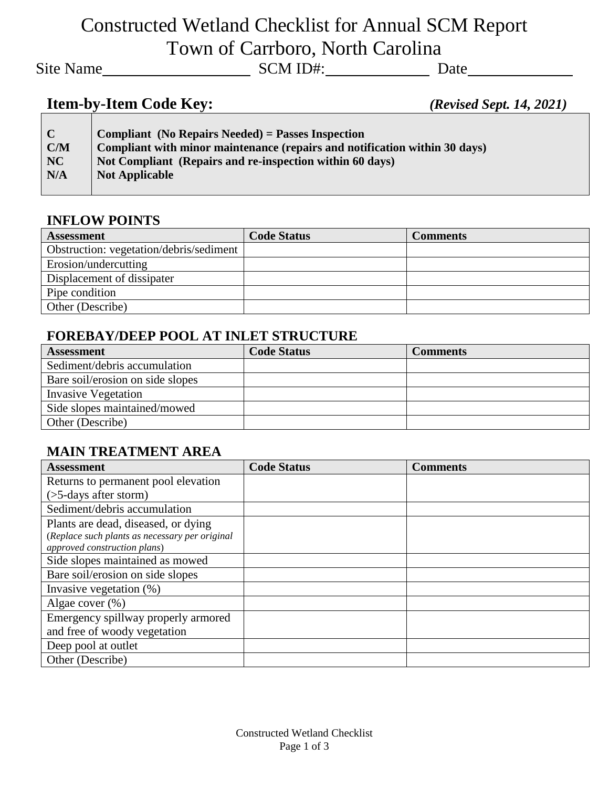# Constructed Wetland Checklist for Annual SCM Report Town of Carrboro, North Carolina

Site Name
Site Name
Site Name
SCM ID#:
SCM ID#:
SCM ID#:
SCM ID#:
SCM ID#:
SCM ID#:
SCM ID#:
SCM ID#:
SCM ID#:
SCM ID#:
SCM ID#:
SCM ID#:
SCM ID#:
SCM ID#:
SCM ID#:
SCM ID#:
SCM ID#:
SCM ID#:
SCM ID#:
SCM ID#:
SCM ID#:
SCM

# **Item-by-Item Code Key:** *(Revised Sept. 14, 2021)*

| $\mathbf C$ | <b>Compliant</b> (No Repairs Needed) = Passes Inspection                   |
|-------------|----------------------------------------------------------------------------|
| C/M         | Compliant with minor maintenance (repairs and notification within 30 days) |
| NC          | Not Compliant (Repairs and re-inspection within 60 days)                   |
| N/A         | <b>Not Applicable</b>                                                      |
|             |                                                                            |

#### **INFLOW POINTS**

| <b>Assessment</b>                       | <b>Code Status</b> | Comments |
|-----------------------------------------|--------------------|----------|
| Obstruction: vegetation/debris/sediment |                    |          |
| Erosion/undercutting                    |                    |          |
| Displacement of dissipater              |                    |          |
| Pipe condition                          |                    |          |
| Other (Describe)                        |                    |          |

#### **FOREBAY/DEEP POOL AT INLET STRUCTURE**

| <b>Assessment</b>                | <b>Code Status</b> | Comments |
|----------------------------------|--------------------|----------|
| Sediment/debris accumulation     |                    |          |
| Bare soil/erosion on side slopes |                    |          |
| <b>Invasive Vegetation</b>       |                    |          |
| Side slopes maintained/mowed     |                    |          |
| Other (Describe)                 |                    |          |

### **MAIN TREATMENT AREA**

| <b>Assessment</b>                              | <b>Code Status</b> | <b>Comments</b> |
|------------------------------------------------|--------------------|-----------------|
| Returns to permanent pool elevation            |                    |                 |
| $($ >5-days after storm $)$                    |                    |                 |
| Sediment/debris accumulation                   |                    |                 |
| Plants are dead, diseased, or dying            |                    |                 |
| (Replace such plants as necessary per original |                    |                 |
| approved construction plans)                   |                    |                 |
| Side slopes maintained as mowed                |                    |                 |
| Bare soil/erosion on side slopes               |                    |                 |
| Invasive vegetation $(\%)$                     |                    |                 |
| Algae cover $(\%)$                             |                    |                 |
| Emergency spillway properly armored            |                    |                 |
| and free of woody vegetation                   |                    |                 |
| Deep pool at outlet                            |                    |                 |
| Other (Describe)                               |                    |                 |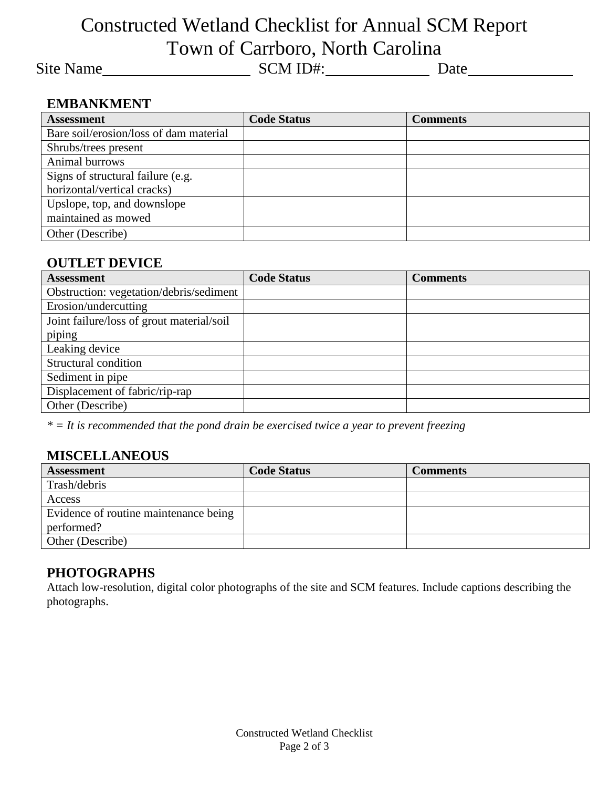## Constructed Wetland Checklist for Annual SCM Report Town of Carrboro, North Carolina

Site Name
Site Name
Site Name
SCM ID#:
SCM ID#:
SCM ID#:
SCM ID#:
SCM ID#:
SCM ID#:
SCM ID#:
SCM ID#:
SCM ID#:
SCM ID#:
SCM ID#:
SCM ID#:
SCM ID#:
SCM ID#:
SCM ID#:
SCM ID#:
SCM ID#:
SCM ID#:
SCM ID#:
SCM ID#:
SCM ID#:
SCM

#### **EMBANKMENT**

| <b>Assessment</b>                      | <b>Code Status</b> | <b>Comments</b> |
|----------------------------------------|--------------------|-----------------|
| Bare soil/erosion/loss of dam material |                    |                 |
| Shrubs/trees present                   |                    |                 |
| Animal burrows                         |                    |                 |
| Signs of structural failure (e.g.      |                    |                 |
| horizontal/vertical cracks)            |                    |                 |
| Upslope, top, and downslope            |                    |                 |
| maintained as mowed                    |                    |                 |
| Other (Describe)                       |                    |                 |

#### **OUTLET DEVICE**

| <b>Assessment</b>                         | <b>Code Status</b> | <b>Comments</b> |
|-------------------------------------------|--------------------|-----------------|
| Obstruction: vegetation/debris/sediment   |                    |                 |
| Erosion/undercutting                      |                    |                 |
| Joint failure/loss of grout material/soil |                    |                 |
| piping                                    |                    |                 |
| Leaking device                            |                    |                 |
| Structural condition                      |                    |                 |
| Sediment in pipe                          |                    |                 |
| Displacement of fabric/rip-rap            |                    |                 |
| Other (Describe)                          |                    |                 |

*\* = It is recommended that the pond drain be exercised twice a year to prevent freezing*

### **MISCELLANEOUS**

| <b>Assessment</b>                     | <b>Code Status</b> | Comments |
|---------------------------------------|--------------------|----------|
| Trash/debris                          |                    |          |
| Access                                |                    |          |
| Evidence of routine maintenance being |                    |          |
| performed?                            |                    |          |
| Other (Describe)                      |                    |          |

#### **PHOTOGRAPHS**

Attach low-resolution, digital color photographs of the site and SCM features. Include captions describing the photographs.